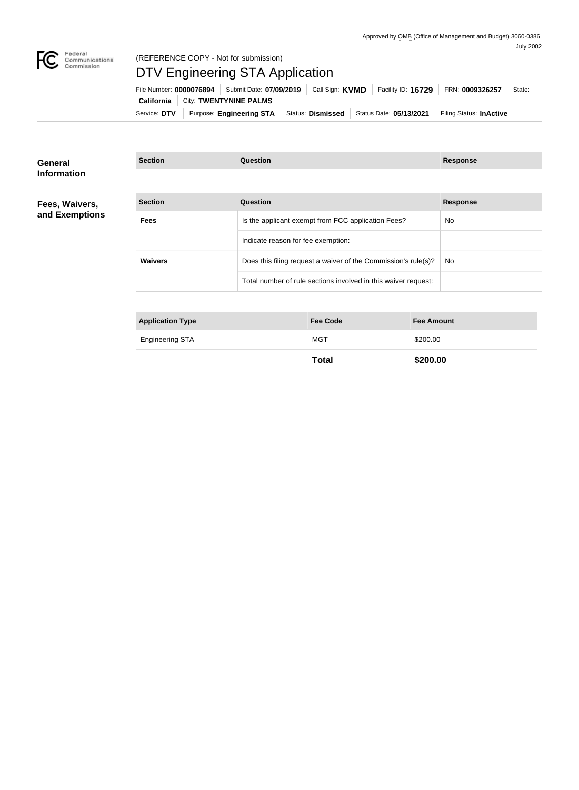

## (REFERENCE COPY - Not for submission)

# DTV Engineering STA Application

| File Number: 0000076894                           | Submit Date: 07/09/2019  | Call Sign: <b>KVMD</b>   | Facility ID: 16729      | FRN: 0009326257         | State: |
|---------------------------------------------------|--------------------------|--------------------------|-------------------------|-------------------------|--------|
| <b>California</b>   City: <b>TWENTYNINE PALMS</b> |                          |                          |                         |                         |        |
| Service: DTV                                      | Purpose: Engineering STA | <b>Status: Dismissed</b> | Status Date: 05/13/2021 | Filing Status: InActive |        |

**Section Question Response**

#### **General Information**

#### **Fees, Waivers, and Exemptions**

| <b>Section</b> | Question                                                       | <b>Response</b> |
|----------------|----------------------------------------------------------------|-----------------|
| <b>Fees</b>    | Is the applicant exempt from FCC application Fees?             | No.             |
|                | Indicate reason for fee exemption:                             |                 |
| <b>Waivers</b> | Does this filing request a waiver of the Commission's rule(s)? | No.             |
|                | Total number of rule sections involved in this waiver request: |                 |

| <b>Application Type</b> | <b>Fee Code</b> | <b>Fee Amount</b> |
|-------------------------|-----------------|-------------------|
| <b>Engineering STA</b>  | <b>MGT</b>      | \$200.00          |
|                         | <b>Total</b>    | \$200.00          |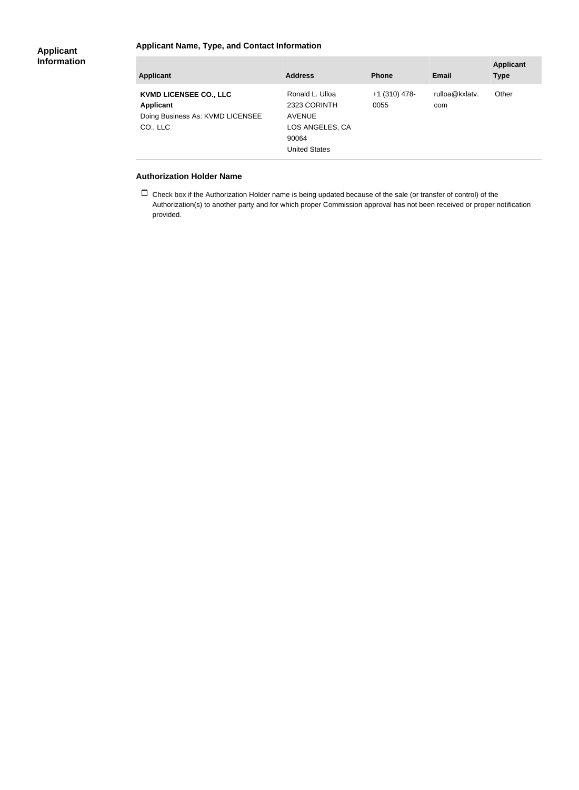### **Applicant Name, Type, and Contact Information**

#### **Applicant Information**

| <b>Applicant</b>                                                                                  | <b>Address</b>                                                                                       | <b>Phone</b>            | Email                 | <b>Applicant</b><br><b>Type</b> |
|---------------------------------------------------------------------------------------------------|------------------------------------------------------------------------------------------------------|-------------------------|-----------------------|---------------------------------|
| <b>KVMD LICENSEE CO., LLC</b><br><b>Applicant</b><br>Doing Business As: KVMD LICENSEE<br>CO., LLC | Ronald L. Ulloa<br>2323 CORINTH<br><b>AVENUE</b><br>LOS ANGELES, CA<br>90064<br><b>United States</b> | $+1$ (310) 478-<br>0055 | rulloa@kxlatv.<br>com | Other                           |

#### **Authorization Holder Name**

 $\Box$  Check box if the Authorization Holder name is being updated because of the sale (or transfer of control) of the Authorization(s) to another party and for which proper Commission approval has not been received or proper notification provided.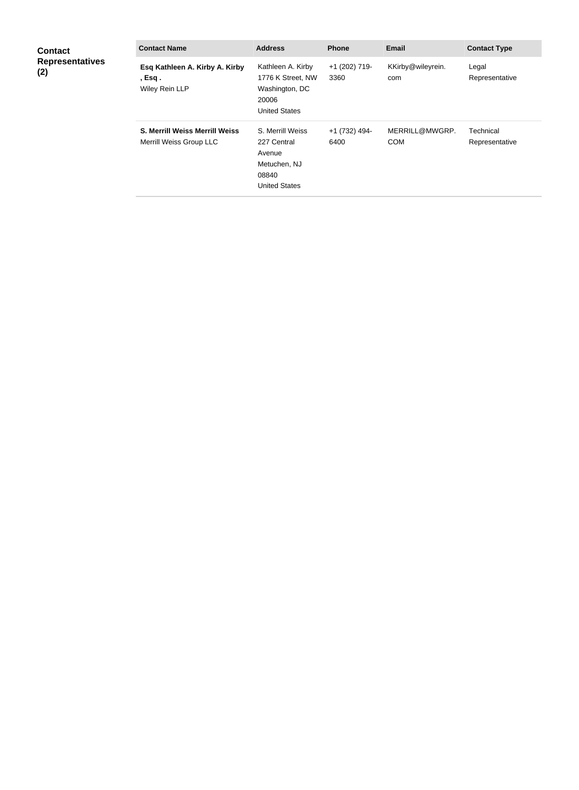| <b>Contact</b><br><b>Representatives</b><br>(2) | <b>Contact Name</b>                                              | <b>Address</b>                                                                             | <b>Phone</b>          | <b>Email</b>                 | <b>Contact Type</b>         |
|-------------------------------------------------|------------------------------------------------------------------|--------------------------------------------------------------------------------------------|-----------------------|------------------------------|-----------------------------|
|                                                 | Esq Kathleen A. Kirby A. Kirby<br>, $Esq.$<br>Wiley Rein LLP     | Kathleen A. Kirby<br>1776 K Street, NW<br>Washington, DC<br>20006<br><b>United States</b>  | +1 (202) 719-<br>3360 | KKirby@wileyrein.<br>com     | Legal<br>Representative     |
|                                                 | <b>S. Merrill Weiss Merrill Weiss</b><br>Merrill Weiss Group LLC | S. Merrill Weiss<br>227 Central<br>Avenue<br>Metuchen, NJ<br>08840<br><b>United States</b> | +1 (732) 494-<br>6400 | MERRILL@MWGRP.<br><b>COM</b> | Technical<br>Representative |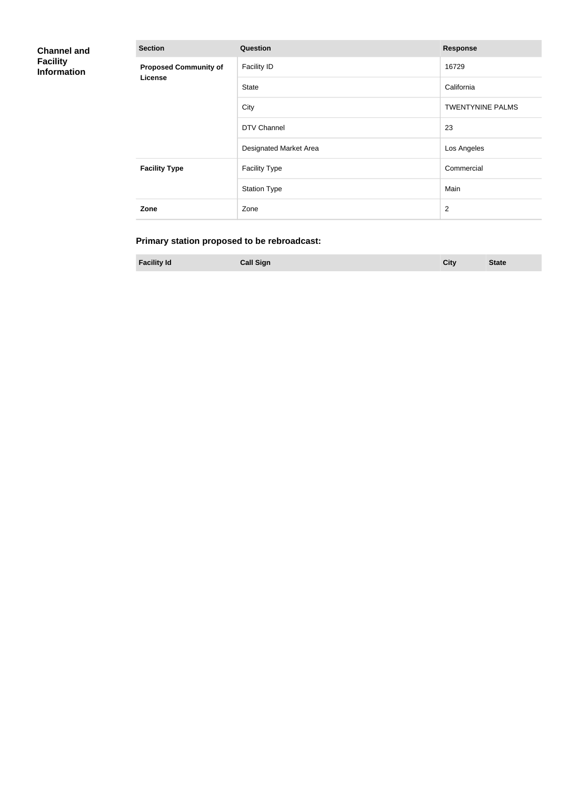| <b>Channel and</b><br><b>Facility</b><br><b>Information</b> | <b>Section</b>               | Question               | <b>Response</b>         |
|-------------------------------------------------------------|------------------------------|------------------------|-------------------------|
|                                                             | <b>Proposed Community of</b> | <b>Facility ID</b>     | 16729                   |
|                                                             | License                      | <b>State</b>           | California              |
|                                                             |                              | City                   | <b>TWENTYNINE PALMS</b> |
|                                                             |                              | DTV Channel            | 23                      |
|                                                             |                              | Designated Market Area | Los Angeles             |
|                                                             | <b>Facility Type</b>         | <b>Facility Type</b>   | Commercial              |
|                                                             |                              | <b>Station Type</b>    | Main                    |
|                                                             | Zone                         | Zone                   | $\overline{2}$          |

# **Primary station proposed to be rebroadcast:**

**Facility Id Call Sign City State**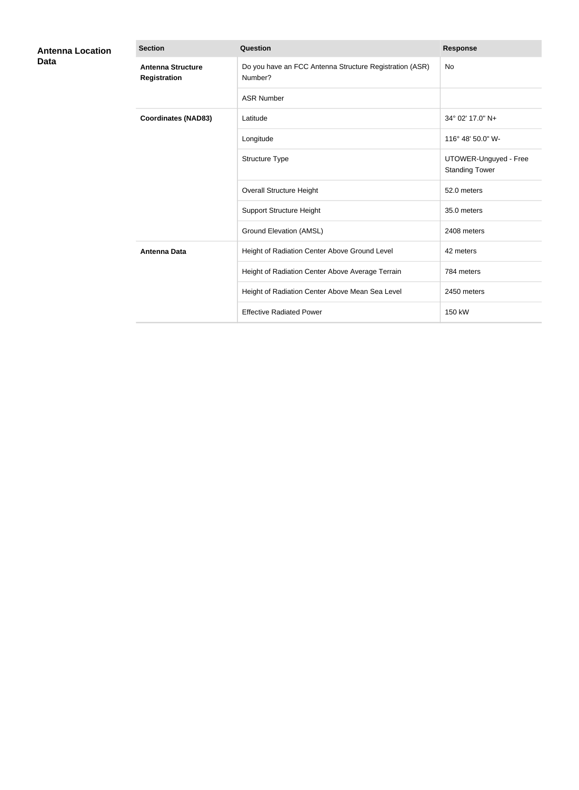| <b>Antenna Location</b><br>Data | <b>Section</b>                           | <b>Question</b>                                                    | <b>Response</b>                                |
|---------------------------------|------------------------------------------|--------------------------------------------------------------------|------------------------------------------------|
|                                 | <b>Antenna Structure</b><br>Registration | Do you have an FCC Antenna Structure Registration (ASR)<br>Number? | No                                             |
|                                 |                                          | <b>ASR Number</b>                                                  |                                                |
|                                 | <b>Coordinates (NAD83)</b>               | Latitude                                                           | 34° 02' 17.0" N+                               |
|                                 |                                          | Longitude                                                          | 116° 48' 50.0" W-                              |
|                                 |                                          | Structure Type                                                     | UTOWER-Unguyed - Free<br><b>Standing Tower</b> |
|                                 |                                          | <b>Overall Structure Height</b>                                    | 52.0 meters                                    |
|                                 |                                          | <b>Support Structure Height</b>                                    | 35.0 meters                                    |
|                                 |                                          | <b>Ground Elevation (AMSL)</b>                                     | 2408 meters                                    |
|                                 | <b>Antenna Data</b>                      | Height of Radiation Center Above Ground Level                      | 42 meters                                      |
|                                 |                                          | Height of Radiation Center Above Average Terrain                   | 784 meters                                     |
|                                 |                                          | Height of Radiation Center Above Mean Sea Level                    | 2450 meters                                    |
|                                 |                                          | <b>Effective Radiated Power</b>                                    | 150 kW                                         |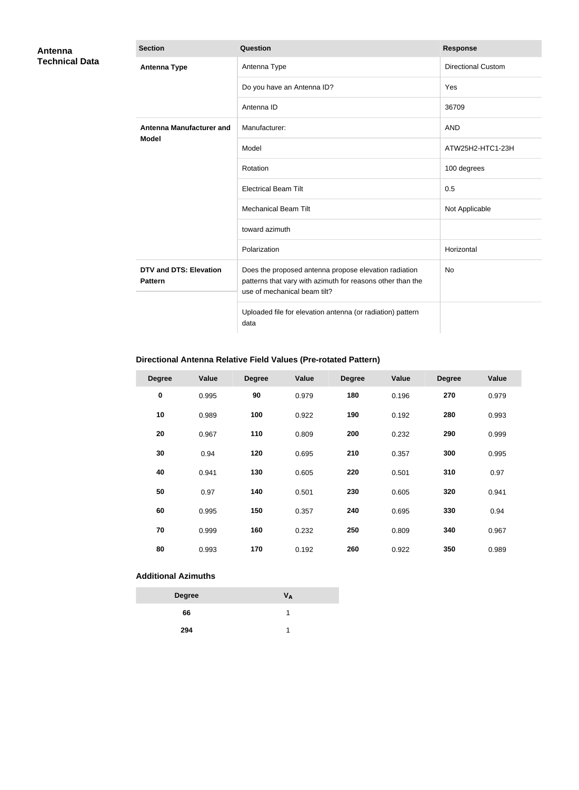| Antenna               | <b>Section</b>                                  | <b>Question</b>                                                                                                                                     | <b>Response</b>           |
|-----------------------|-------------------------------------------------|-----------------------------------------------------------------------------------------------------------------------------------------------------|---------------------------|
| <b>Technical Data</b> | <b>Antenna Type</b>                             | Antenna Type                                                                                                                                        | <b>Directional Custom</b> |
|                       |                                                 | Do you have an Antenna ID?                                                                                                                          | Yes                       |
|                       |                                                 | Antenna ID                                                                                                                                          | 36709                     |
|                       | Antenna Manufacturer and                        | Manufacturer:                                                                                                                                       | <b>AND</b>                |
|                       | <b>Model</b>                                    | Model                                                                                                                                               | ATW25H2-HTC1-23H          |
|                       |                                                 | Rotation                                                                                                                                            | 100 degrees               |
|                       |                                                 | <b>Electrical Beam Tilt</b>                                                                                                                         | 0.5                       |
|                       |                                                 | <b>Mechanical Beam Tilt</b>                                                                                                                         | Not Applicable            |
|                       |                                                 | toward azimuth                                                                                                                                      |                           |
|                       |                                                 | Polarization                                                                                                                                        | Horizontal                |
|                       | <b>DTV and DTS: Elevation</b><br><b>Pattern</b> | Does the proposed antenna propose elevation radiation<br>patterns that vary with azimuth for reasons other than the<br>use of mechanical beam tilt? | No                        |
|                       |                                                 | Uploaded file for elevation antenna (or radiation) pattern<br>data                                                                                  |                           |

## **Directional Antenna Relative Field Values (Pre-rotated Pattern)**

| <b>Degree</b> | Value | <b>Degree</b> | <b>Value</b> | <b>Degree</b> | Value | <b>Degree</b> | <b>Value</b> |
|---------------|-------|---------------|--------------|---------------|-------|---------------|--------------|
| $\pmb{0}$     | 0.995 | 90            | 0.979        | 180           | 0.196 | 270           | 0.979        |
| 10            | 0.989 | 100           | 0.922        | 190           | 0.192 | 280           | 0.993        |
| 20            | 0.967 | 110           | 0.809        | 200           | 0.232 | 290           | 0.999        |
| 30            | 0.94  | 120           | 0.695        | 210           | 0.357 | 300           | 0.995        |
| 40            | 0.941 | 130           | 0.605        | 220           | 0.501 | 310           | 0.97         |
| 50            | 0.97  | 140           | 0.501        | 230           | 0.605 | 320           | 0.941        |
| 60            | 0.995 | 150           | 0.357        | 240           | 0.695 | 330           | 0.94         |
| 70            | 0.999 | 160           | 0.232        | 250           | 0.809 | 340           | 0.967        |
| 80            | 0.993 | 170           | 0.192        | 260           | 0.922 | 350           | 0.989        |

#### **Additional Azimuths**

| <b>Degree</b> | Vд |
|---------------|----|
| 66            |    |
| 294           |    |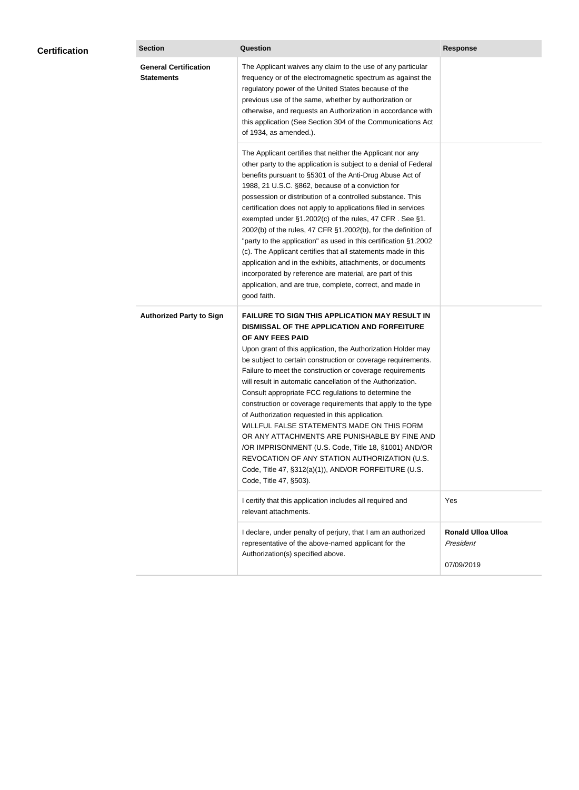| <b>Certification</b> | <b>Section</b>                                    | <b>Question</b>                                                                                                                                                                                                                                                                                                                                                                                                                                                                                                                                                                                                                                                                                                                                                                                                                                           | <b>Response</b>                                      |
|----------------------|---------------------------------------------------|-----------------------------------------------------------------------------------------------------------------------------------------------------------------------------------------------------------------------------------------------------------------------------------------------------------------------------------------------------------------------------------------------------------------------------------------------------------------------------------------------------------------------------------------------------------------------------------------------------------------------------------------------------------------------------------------------------------------------------------------------------------------------------------------------------------------------------------------------------------|------------------------------------------------------|
|                      | <b>General Certification</b><br><b>Statements</b> | The Applicant waives any claim to the use of any particular<br>frequency or of the electromagnetic spectrum as against the<br>regulatory power of the United States because of the<br>previous use of the same, whether by authorization or<br>otherwise, and requests an Authorization in accordance with<br>this application (See Section 304 of the Communications Act<br>of 1934, as amended.).                                                                                                                                                                                                                                                                                                                                                                                                                                                       |                                                      |
|                      |                                                   | The Applicant certifies that neither the Applicant nor any<br>other party to the application is subject to a denial of Federal<br>benefits pursuant to §5301 of the Anti-Drug Abuse Act of<br>1988, 21 U.S.C. §862, because of a conviction for<br>possession or distribution of a controlled substance. This<br>certification does not apply to applications filed in services<br>exempted under §1.2002(c) of the rules, 47 CFR. See §1.<br>2002(b) of the rules, 47 CFR §1.2002(b), for the definition of<br>"party to the application" as used in this certification §1.2002<br>(c). The Applicant certifies that all statements made in this<br>application and in the exhibits, attachments, or documents<br>incorporated by reference are material, are part of this<br>application, and are true, complete, correct, and made in<br>good faith.   |                                                      |
|                      | <b>Authorized Party to Sign</b>                   | <b>FAILURE TO SIGN THIS APPLICATION MAY RESULT IN</b><br>DISMISSAL OF THE APPLICATION AND FORFEITURE<br>OF ANY FEES PAID<br>Upon grant of this application, the Authorization Holder may<br>be subject to certain construction or coverage requirements.<br>Failure to meet the construction or coverage requirements<br>will result in automatic cancellation of the Authorization.<br>Consult appropriate FCC regulations to determine the<br>construction or coverage requirements that apply to the type<br>of Authorization requested in this application.<br>WILLFUL FALSE STATEMENTS MADE ON THIS FORM<br>OR ANY ATTACHMENTS ARE PUNISHABLE BY FINE AND<br>/OR IMPRISONMENT (U.S. Code, Title 18, §1001) AND/OR<br>REVOCATION OF ANY STATION AUTHORIZATION (U.S.<br>Code, Title 47, §312(a)(1)), AND/OR FORFEITURE (U.S.<br>Code, Title 47, §503). |                                                      |
|                      |                                                   | I certify that this application includes all required and<br>relevant attachments.                                                                                                                                                                                                                                                                                                                                                                                                                                                                                                                                                                                                                                                                                                                                                                        | Yes                                                  |
|                      |                                                   | I declare, under penalty of perjury, that I am an authorized<br>representative of the above-named applicant for the<br>Authorization(s) specified above.                                                                                                                                                                                                                                                                                                                                                                                                                                                                                                                                                                                                                                                                                                  | <b>Ronald Ulloa Ulloa</b><br>President<br>07/09/2019 |
|                      |                                                   |                                                                                                                                                                                                                                                                                                                                                                                                                                                                                                                                                                                                                                                                                                                                                                                                                                                           |                                                      |